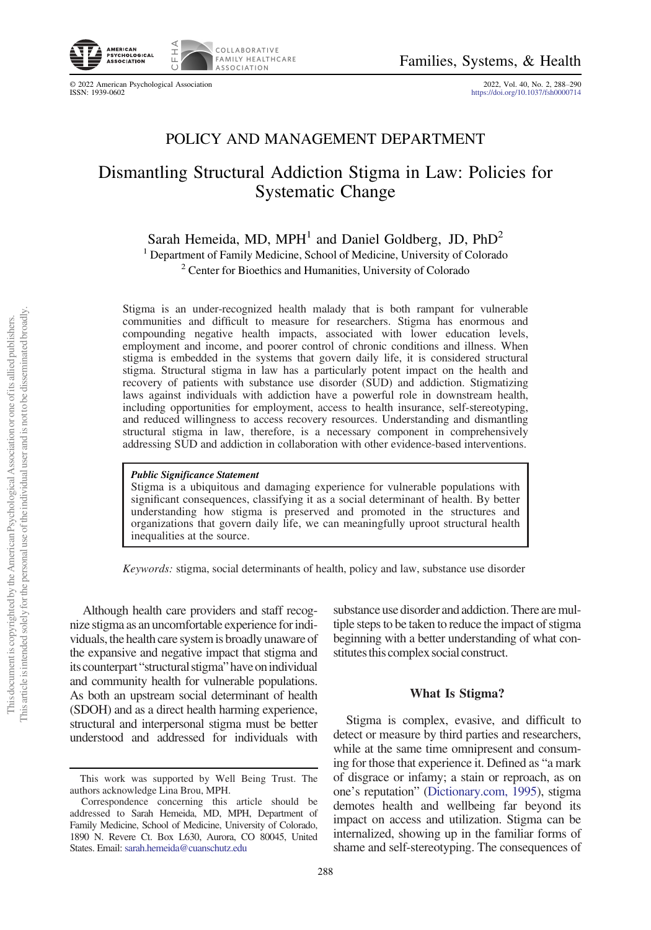

© 2022 American Psychological Association 2022, Vol. 40, No. 2, 288–<sup>290</sup> ISSN: 1939-0602 <https://doi.org/10.1037/fsh0000714>

## POLICY AND MANAGEMENT DEPARTMENT

# Dismantling Structural Addiction Stigma in Law: Policies for Systematic Change

Sarah Hemeida, MD, MPH<sup>1</sup> and Daniel Goldberg, JD,  $PhD<sup>2</sup>$ 

<sup>1</sup> Department of Family Medicine, School of Medicine, University of Colorado

<sup>2</sup> Center for Bioethics and Humanities, University of Colorado

Stigma is an under-recognized health malady that is both rampant for vulnerable communities and difficult to measure for researchers. Stigma has enormous and compounding negative health impacts, associated with lower education levels, employment and income, and poorer control of chronic conditions and illness. When stigma is embedded in the systems that govern daily life, it is considered structural stigma. Structural stigma in law has a particularly potent impact on the health and recovery of patients with substance use disorder (SUD) and addiction. Stigmatizing laws against individuals with addiction have a powerful role in downstream health, including opportunities for employment, access to health insurance, self-stereotyping, and reduced willingness to access recovery resources. Understanding and dismantling structural stigma in law, therefore, is a necessary component in comprehensively addressing SUD and addiction in collaboration with other evidence-based interventions.

Public Significance Statement Stigma is a ubiquitous and damaging experience for vulnerable populations with significant consequences, classifying it as a social determinant of health. By better understanding how stigma is preserved and promoted in the structures and organizations that govern daily life, we can meaningfully uproot structural health inequalities at the source.

Keywords: stigma, social determinants of health, policy and law, substance use disorder

Although health care providers and staff recognize stigma as an uncomfortable experience forindividuals, the health care system is broadly unaware of the expansive and negative impact that stigma and its counterpart "structural stigma" have on individual and community health for vulnerable populations. As both an upstream social determinant of health (SDOH) and as a direct health harming experience, structural and interpersonal stigma must be better understood and addressed for individuals with

substance use disorder and addiction. There are multiple steps to be taken to reduce the impact of stigma beginning with a better understanding of what constitutes this complex social construct.

#### What Is Stigma?

Stigma is complex, evasive, and difficult to detect or measure by third parties and researchers, while at the same time omnipresent and consuming for those that experience it. Defined as "a mark of disgrace or infamy; a stain or reproach, as on one's reputation" [\(Dictionary.com, 1995\)](#page-2-0), stigma demotes health and wellbeing far beyond its impact on access and utilization. Stigma can be internalized, showing up in the familiar forms of shame and self-stereotyping. The consequences of

This work was supported by Well Being Trust. The authors acknowledge Lina Brou, MPH.

Correspondence concerning this article should be addressed to Sarah Hemeida, MD, MPH, Department of Family Medicine, School of Medicine, University of Colorado, 1890 N. Revere Ct. Box L630, Aurora, CO 80045, United States. Email: [sarah.hemeida@cuanschutz.edu](mailto:sarah.hemeida@cuanschutz.edu)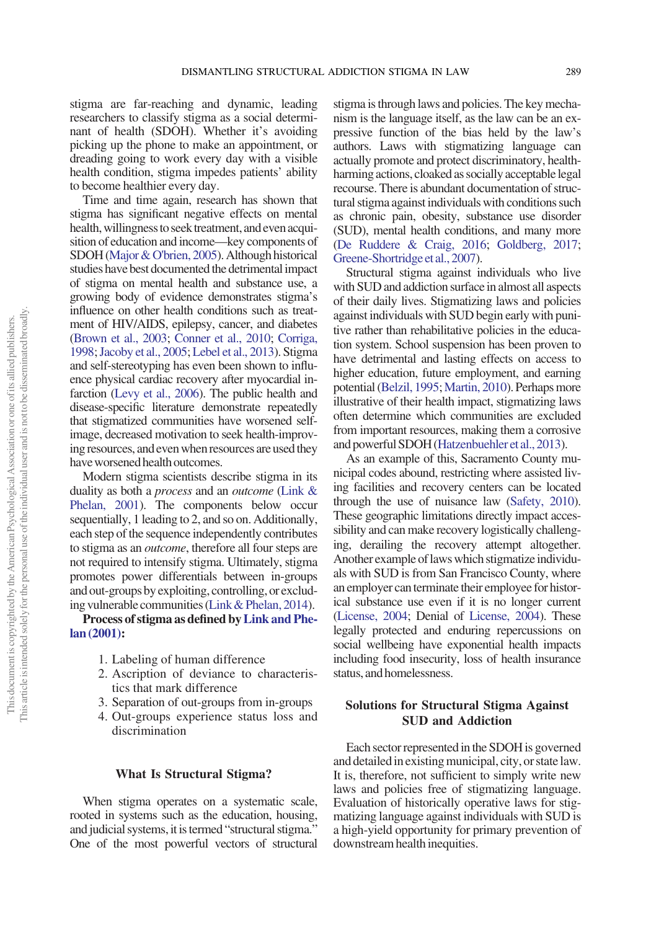stigma are far-reaching and dynamic, leading researchers to classify stigma as a social determinant of health (SDOH). Whether it's avoiding picking up the phone to make an appointment, or dreading going to work every day with a visible health condition, stigma impedes patients' ability to become healthier every day.

Time and time again, research has shown that stigma has significant negative effects on mental health, willingness to seek treatment, and even acquisition of education and income—key components of SDOH ([Major & O'brien, 2005](#page-2-1)). Although historical studies have best documented the detrimental impact of stigma on mental health and substance use, a growing body of evidence demonstrates stigma's influence on other health conditions such as treatment of HIV/AIDS, epilepsy, cancer, and diabetes [\(Brown et al., 2003](#page-2-2); [Conner et al., 2010](#page-2-3); [Corriga,](#page-2-4) [1998;](#page-2-4)[Jacoby et al., 2005;](#page-2-5) [Lebel et al., 2013](#page-2-6)). Stigma and self-stereotyping has even been shown to influence physical cardiac recovery after myocardial infarction [\(Levy et al., 2006\)](#page-2-7). The public health and disease-specific literature demonstrate repeatedly that stigmatized communities have worsened selfimage, decreased motivation to seek health-improving resources, and even when resources are used they have worsened health outcomes.

Modern stigma scientists describe stigma in its duality as both a process and an outcome ([Link &](#page-2-8) [Phelan, 2001\)](#page-2-8). The components below occur sequentially, 1 leading to 2, and so on. Additionally, each step of the sequence independently contributes to stigma as an outcome, therefore all four steps are not required to intensify stigma. Ultimately, stigma promotes power differentials between in-groups and out-groups by exploiting, controlling, or excluding vulnerable communities [\(Link& Phelan, 2014](#page-2-9)).

#### Process of stigma as defined by[Link and Phe](#page-2-8)[lan \(2001\):](#page-2-8)

- 1. Labeling of human difference
- 2. Ascription of deviance to characteristics that mark difference
- 3. Separation of out-groups from in-groups
- 4. Out-groups experience status loss and discrimination

#### What Is Structural Stigma?

When stigma operates on a systematic scale, rooted in systems such as the education, housing, and judicial systems, it is termed "structural stigma." One of the most powerful vectors of structural stigma is through laws and policies. The key mechanism is the language itself, as the law can be an expressive function of the bias held by the law's authors. Laws with stigmatizing language can actually promote and protect discriminatory, healthharming actions, cloaked as socially acceptable legal recourse. There is abundant documentation of structural stigma against individuals with conditions such as chronic pain, obesity, substance use disorder (SUD), mental health conditions, and many more [\(De Ruddere & Craig, 2016;](#page-2-10) [Goldberg, 2017](#page-2-11); [Greene-Shortridge et al., 2007](#page-2-12)).

Structural stigma against individuals who live with SUD and addiction surface in almost all aspects of their daily lives. Stigmatizing laws and policies against individuals with SUD begin early with punitive rather than rehabilitative policies in the education system. School suspension has been proven to have detrimental and lasting effects on access to higher education, future employment, and earning potential [\(Belzil, 1995;](#page-2-13) [Martin, 2010](#page-2-14)). Perhaps more illustrative of their health impact, stigmatizing laws often determine which communities are excluded from important resources, making them a corrosive and powerful SDOH [\(Hatzenbuehler et al., 2013](#page-2-15)).

As an example of this, Sacramento County municipal codes abound, restricting where assisted living facilities and recovery centers can be located through the use of nuisance law [\(Safety, 2010](#page-2-16)). These geographic limitations directly impact accessibility and can make recovery logistically challenging, derailing the recovery attempt altogether. Another example of laws which stigmatize individuals with SUD is from San Francisco County, where an employer can terminate their employee for historical substance use even if it is no longer current [\(License, 2004](#page-2-17); Denial of [License, 2004\)](#page-2-17). These legally protected and enduring repercussions on social wellbeing have exponential health impacts including food insecurity, loss of health insurance status, and homelessness.

### Solutions for Structural Stigma Against SUD and Addiction

Each sector represented in the SDOHis governed and detailed in existing municipal, city, or state law. It is, therefore, not sufficient to simply write new laws and policies free of stigmatizing language. Evaluation of historically operative laws for stigmatizing language against individuals with SUD is a high-yield opportunity for primary prevention of downstream health inequities.